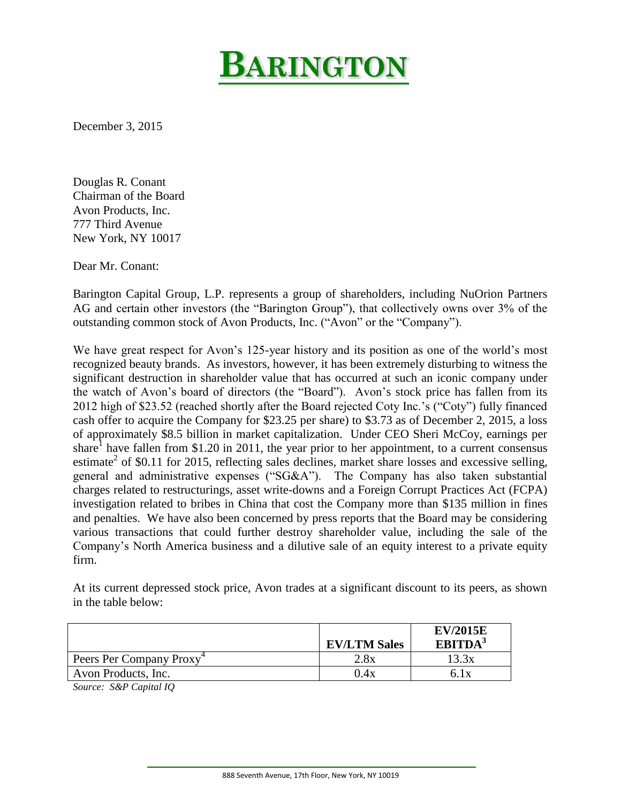

December 3, 2015

Douglas R. Conant Chairman of the Board Avon Products, Inc. 777 Third Avenue New York, NY 10017

Dear Mr. Conant:

Barington Capital Group, L.P. represents a group of shareholders, including NuOrion Partners AG and certain other investors (the "Barington Group"), that collectively owns over 3% of the outstanding common stock of Avon Products, Inc. ("Avon" or the "Company").

We have great respect for Avon's 125-year history and its position as one of the world's most recognized beauty brands. As investors, however, it has been extremely disturbing to witness the significant destruction in shareholder value that has occurred at such an iconic company under the watch of Avon's board of directors (the "Board"). Avon's stock price has fallen from its 2012 high of \$23.52 (reached shortly after the Board rejected Coty Inc.'s ("Coty") fully financed cash offer to acquire the Company for \$23.25 per share) to \$3.73 as of December 2, 2015, a loss of approximately \$8.5 billion in market capitalization. Under CEO Sheri McCoy, earnings per share<sup>1</sup> have fallen from \$1.20 in 2011, the year prior to her appointment, to a current consensus estimate<sup>2</sup> of \$0.11 for 2015, reflecting sales declines, market share losses and excessive selling, general and administrative expenses ("SG&A"). The Company has also taken substantial charges related to restructurings, asset write-downs and a Foreign Corrupt Practices Act (FCPA) investigation related to bribes in China that cost the Company more than \$135 million in fines and penalties. We have also been concerned by press reports that the Board may be considering various transactions that could further destroy shareholder value, including the sale of the Company's North America business and a dilutive sale of an equity interest to a private equity firm.

At its current depressed stock price, Avon trades at a significant discount to its peers, as shown in the table below:

|                                      | <b>EV/LTM Sales</b> | <b>EV/2015E</b><br>EBITDA <sup>3</sup> |
|--------------------------------------|---------------------|----------------------------------------|
| Peers Per Company Proxy <sup>4</sup> | 2.8x                | 13.3x                                  |
| Avon Products, Inc.                  | 0.4x                | 6. l x                                 |

*Source: S&P Capital IQ*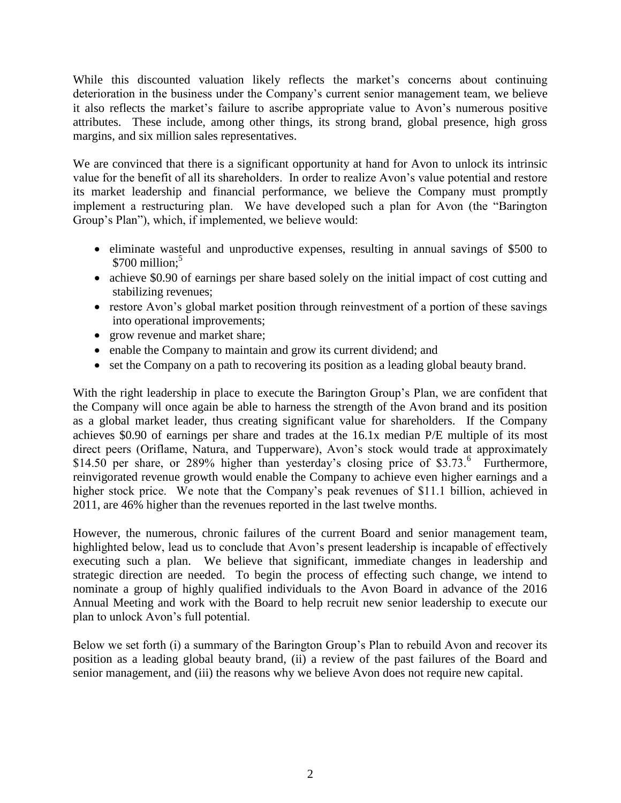While this discounted valuation likely reflects the market's concerns about continuing deterioration in the business under the Company's current senior management team, we believe it also reflects the market's failure to ascribe appropriate value to Avon's numerous positive attributes. These include, among other things, its strong brand, global presence, high gross margins, and six million sales representatives.

We are convinced that there is a significant opportunity at hand for Avon to unlock its intrinsic value for the benefit of all its shareholders. In order to realize Avon's value potential and restore its market leadership and financial performance, we believe the Company must promptly implement a restructuring plan. We have developed such a plan for Avon (the "Barington Group's Plan"), which, if implemented, we believe would:

- eliminate wasteful and unproductive expenses, resulting in annual savings of \$500 to  $$700$  million;<sup>5</sup>
- achieve \$0.90 of earnings per share based solely on the initial impact of cost cutting and stabilizing revenues;
- restore Avon's global market position through reinvestment of a portion of these savings into operational improvements;
- grow revenue and market share;
- enable the Company to maintain and grow its current dividend; and
- set the Company on a path to recovering its position as a leading global beauty brand.

With the right leadership in place to execute the Barington Group's Plan, we are confident that the Company will once again be able to harness the strength of the Avon brand and its position as a global market leader, thus creating significant value for shareholders. If the Company achieves \$0.90 of earnings per share and trades at the 16.1x median P/E multiple of its most direct peers (Oriflame, Natura, and Tupperware), Avon's stock would trade at approximately \$14.50 per share, or 289% higher than yesterday's closing price of \$3.73.<sup>6</sup> Furthermore, reinvigorated revenue growth would enable the Company to achieve even higher earnings and a higher stock price. We note that the Company's peak revenues of \$11.1 billion, achieved in 2011, are 46% higher than the revenues reported in the last twelve months.

However, the numerous, chronic failures of the current Board and senior management team, highlighted below, lead us to conclude that Avon's present leadership is incapable of effectively executing such a plan. We believe that significant, immediate changes in leadership and strategic direction are needed. To begin the process of effecting such change, we intend to nominate a group of highly qualified individuals to the Avon Board in advance of the 2016 Annual Meeting and work with the Board to help recruit new senior leadership to execute our plan to unlock Avon's full potential.

Below we set forth (i) a summary of the Barington Group's Plan to rebuild Avon and recover its position as a leading global beauty brand, (ii) a review of the past failures of the Board and senior management, and (iii) the reasons why we believe Avon does not require new capital.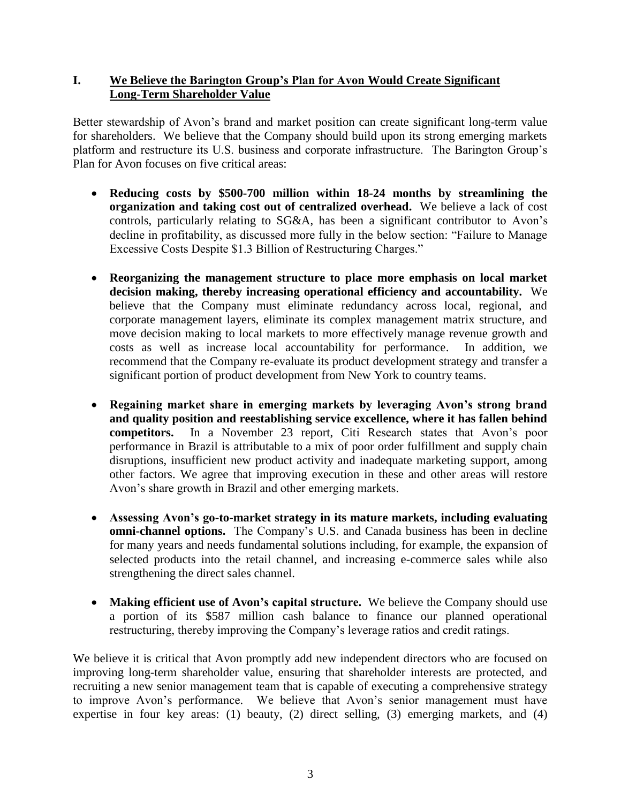# **I. We Believe the Barington Group's Plan for Avon Would Create Significant Long-Term Shareholder Value**

Better stewardship of Avon's brand and market position can create significant long-term value for shareholders. We believe that the Company should build upon its strong emerging markets platform and restructure its U.S. business and corporate infrastructure. The Barington Group's Plan for Avon focuses on five critical areas:

- **Reducing costs by \$500-700 million within 18-24 months by streamlining the organization and taking cost out of centralized overhead.** We believe a lack of cost controls, particularly relating to SG&A, has been a significant contributor to Avon's decline in profitability, as discussed more fully in the below section: "Failure to Manage Excessive Costs Despite \$1.3 Billion of Restructuring Charges."
- **Reorganizing the management structure to place more emphasis on local market decision making, thereby increasing operational efficiency and accountability.** We believe that the Company must eliminate redundancy across local, regional, and corporate management layers, eliminate its complex management matrix structure, and move decision making to local markets to more effectively manage revenue growth and costs as well as increase local accountability for performance. In addition, we recommend that the Company re-evaluate its product development strategy and transfer a significant portion of product development from New York to country teams.
- **Regaining market share in emerging markets by leveraging Avon's strong brand and quality position and reestablishing service excellence, where it has fallen behind competitors.** In a November 23 report, Citi Research states that Avon's poor performance in Brazil is attributable to a mix of poor order fulfillment and supply chain disruptions, insufficient new product activity and inadequate marketing support, among other factors. We agree that improving execution in these and other areas will restore Avon's share growth in Brazil and other emerging markets.
- **Assessing Avon's go-to-market strategy in its mature markets, including evaluating omni-channel options.** The Company's U.S. and Canada business has been in decline for many years and needs fundamental solutions including, for example, the expansion of selected products into the retail channel, and increasing e-commerce sales while also strengthening the direct sales channel.
- **Making efficient use of Avon's capital structure.** We believe the Company should use a portion of its \$587 million cash balance to finance our planned operational restructuring, thereby improving the Company's leverage ratios and credit ratings.

We believe it is critical that Avon promptly add new independent directors who are focused on improving long-term shareholder value, ensuring that shareholder interests are protected, and recruiting a new senior management team that is capable of executing a comprehensive strategy to improve Avon's performance. We believe that Avon's senior management must have expertise in four key areas: (1) beauty, (2) direct selling, (3) emerging markets, and (4)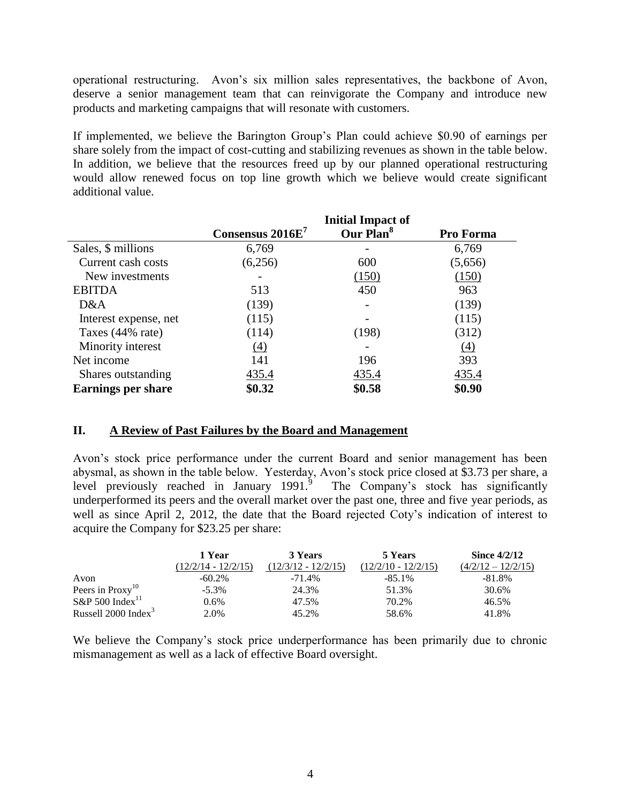operational restructuring. Avon's six million sales representatives, the backbone of Avon, deserve a senior management team that can reinvigorate the Company and introduce new products and marketing campaigns that will resonate with customers.

If implemented, we believe the Barington Group's Plan could achieve \$0.90 of earnings per share solely from the impact of cost-cutting and stabilizing revenues as shown in the table below. In addition, we believe that the resources freed up by our planned operational restructuring would allow renewed focus on top line growth which we believe would create significant additional value.

|                           | <b>Initial Impact of</b> |                       |           |  |
|---------------------------|--------------------------|-----------------------|-----------|--|
|                           | Consensus $2016E7$       | Our Plan <sup>8</sup> | Pro Forma |  |
| Sales, \$ millions        | 6,769                    |                       | 6,769     |  |
| Current cash costs        | (6,256)                  | 600                   | (5,656)   |  |
| New investments           |                          | (150)                 | (150)     |  |
| <b>EBITDA</b>             | 513                      | 450                   | 963       |  |
| D&A                       | (139)                    | -                     | (139)     |  |
| Interest expense, net     | (115)                    |                       | (115)     |  |
| Taxes (44% rate)          | (114)                    | (198)                 | (312)     |  |
| Minority interest         | (4)                      |                       | (4)       |  |
| Net income                | 141                      | 196                   | 393       |  |
| Shares outstanding        | 435.4                    | 435.4                 | 435.4     |  |
| <b>Earnings per share</b> | \$0.32                   | \$0.58                | \$0.90    |  |

### **II. A Review of Past Failures by the Board and Management**

Avon's stock price performance under the current Board and senior management has been abysmal, as shown in the table below. Yesterday, Avon's stock price closed at \$3.73 per share, a level previously reached in January 1991.<sup>9</sup> The Company's stock has significantly underperformed its peers and the overall market over the past one, three and five year periods, as well as since April 2, 2012, the date that the Board rejected Coty's indication of interest to acquire the Company for \$23.25 per share:

|                                 | 1 Year                | 3 Years               | 5 Years               | Since $4/2/12$       |  |
|---------------------------------|-----------------------|-----------------------|-----------------------|----------------------|--|
|                                 | $(12/2/14 - 12/2/15)$ | $(12/3/12 - 12/2/15)$ | $(12/2/10 - 12/2/15)$ | $(4/2/12 - 12/2/15)$ |  |
| Avon                            | $-60.2\%$             | $-71.4\%$             | $-85.1\%$             | $-81.8\%$            |  |
| Peers in Proxy <sup>10</sup>    | $-5.3\%$              | 24.3%                 | 51.3%                 | 30.6%                |  |
| $S\&P 500$ Index <sup>11</sup>  | 0.6%                  | 47.5%                 | 70.2%                 | 46.5%                |  |
| Russell 2000 Index <sup>3</sup> | 2.0%                  | 45.2%                 | 58.6%                 | 41.8%                |  |

We believe the Company's stock price underperformance has been primarily due to chronic mismanagement as well as a lack of effective Board oversight.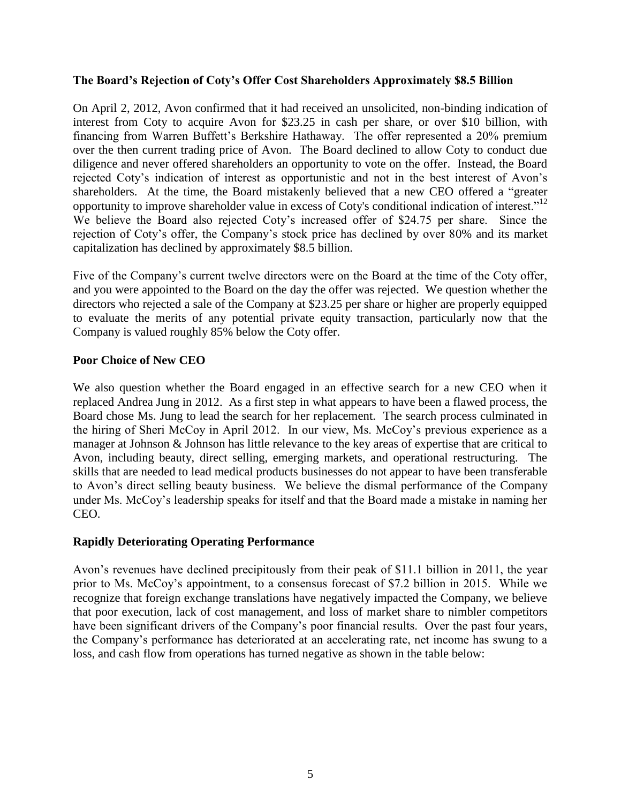### **The Board's Rejection of Coty's Offer Cost Shareholders Approximately \$8.5 Billion**

On April 2, 2012, Avon confirmed that it had received an unsolicited, non-binding indication of interest from Coty to acquire Avon for \$23.25 in cash per share, or over \$10 billion, with financing from Warren Buffett's Berkshire Hathaway. The offer represented a 20% premium over the then current trading price of Avon. The Board declined to allow Coty to conduct due diligence and never offered shareholders an opportunity to vote on the offer. Instead, the Board rejected Coty's indication of interest as opportunistic and not in the best interest of Avon's shareholders. At the time, the Board mistakenly believed that a new CEO offered a "greater opportunity to improve shareholder value in excess of Coty's conditional indication of interest."<sup>12</sup> We believe the Board also rejected Coty's increased offer of \$24.75 per share. Since the rejection of Coty's offer, the Company's stock price has declined by over 80% and its market capitalization has declined by approximately \$8.5 billion.

Five of the Company's current twelve directors were on the Board at the time of the Coty offer, and you were appointed to the Board on the day the offer was rejected. We question whether the directors who rejected a sale of the Company at \$23.25 per share or higher are properly equipped to evaluate the merits of any potential private equity transaction, particularly now that the Company is valued roughly 85% below the Coty offer.

### **Poor Choice of New CEO**

We also question whether the Board engaged in an effective search for a new CEO when it replaced Andrea Jung in 2012. As a first step in what appears to have been a flawed process, the Board chose Ms. Jung to lead the search for her replacement. The search process culminated in the hiring of Sheri McCoy in April 2012. In our view, Ms. McCoy's previous experience as a manager at Johnson & Johnson has little relevance to the key areas of expertise that are critical to Avon, including beauty, direct selling, emerging markets, and operational restructuring. The skills that are needed to lead medical products businesses do not appear to have been transferable to Avon's direct selling beauty business. We believe the dismal performance of the Company under Ms. McCoy's leadership speaks for itself and that the Board made a mistake in naming her CEO.

### **Rapidly Deteriorating Operating Performance**

Avon's revenues have declined precipitously from their peak of \$11.1 billion in 2011, the year prior to Ms. McCoy's appointment, to a consensus forecast of \$7.2 billion in 2015. While we recognize that foreign exchange translations have negatively impacted the Company, we believe that poor execution, lack of cost management, and loss of market share to nimbler competitors have been significant drivers of the Company's poor financial results. Over the past four years, the Company's performance has deteriorated at an accelerating rate, net income has swung to a loss, and cash flow from operations has turned negative as shown in the table below: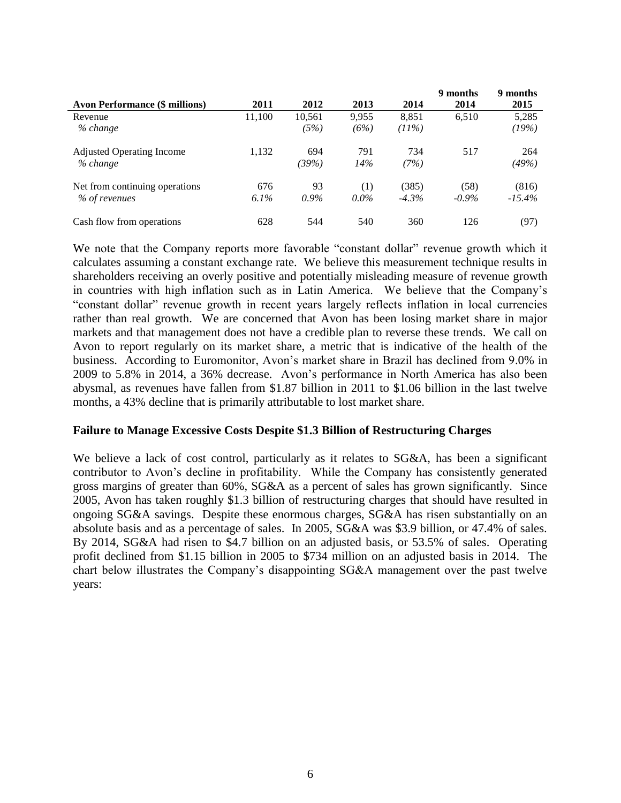|                                       |         |         |         |          | 9 months | 9 months  |
|---------------------------------------|---------|---------|---------|----------|----------|-----------|
| <b>Avon Performance (\$ millions)</b> | 2011    | 2012    | 2013    | 2014     | 2014     | 2015      |
| Revenue                               | 11,100  | 10,561  | 9.955   | 8,851    | 6,510    | 5,285     |
| % change                              |         | (5%)    | (6%)    | (11%)    |          | (19%)     |
| <b>Adjusted Operating Income</b>      | 1,132   | 694     | 791     | 734      | 517      | 264       |
| % change                              |         | (39%)   | 14%     | (7%)     |          | (49%)     |
| Net from continuing operations        | 676     | 93      | (1)     | (385)    | (58)     | (816)     |
| % of revenues                         | $6.1\%$ | $0.9\%$ | $0.0\%$ | $-4.3\%$ | $-0.9\%$ | $-15.4\%$ |
| Cash flow from operations             | 628     | 544     | 540     | 360      | 126      | (97)      |

We note that the Company reports more favorable "constant dollar" revenue growth which it calculates assuming a constant exchange rate. We believe this measurement technique results in shareholders receiving an overly positive and potentially misleading measure of revenue growth in countries with high inflation such as in Latin America. We believe that the Company's "constant dollar" revenue growth in recent years largely reflects inflation in local currencies rather than real growth. We are concerned that Avon has been losing market share in major markets and that management does not have a credible plan to reverse these trends. We call on Avon to report regularly on its market share, a metric that is indicative of the health of the business. According to Euromonitor, Avon's market share in Brazil has declined from 9.0% in 2009 to 5.8% in 2014, a 36% decrease. Avon's performance in North America has also been abysmal, as revenues have fallen from \$1.87 billion in 2011 to \$1.06 billion in the last twelve months, a 43% decline that is primarily attributable to lost market share.

### **Failure to Manage Excessive Costs Despite \$1.3 Billion of Restructuring Charges**

We believe a lack of cost control, particularly as it relates to SG&A, has been a significant contributor to Avon's decline in profitability. While the Company has consistently generated gross margins of greater than 60%, SG&A as a percent of sales has grown significantly. Since 2005, Avon has taken roughly \$1.3 billion of restructuring charges that should have resulted in ongoing SG&A savings. Despite these enormous charges, SG&A has risen substantially on an absolute basis and as a percentage of sales. In 2005, SG&A was \$3.9 billion, or 47.4% of sales. By 2014, SG&A had risen to \$4.7 billion on an adjusted basis, or 53.5% of sales. Operating profit declined from \$1.15 billion in 2005 to \$734 million on an adjusted basis in 2014. The chart below illustrates the Company's disappointing SG&A management over the past twelve years: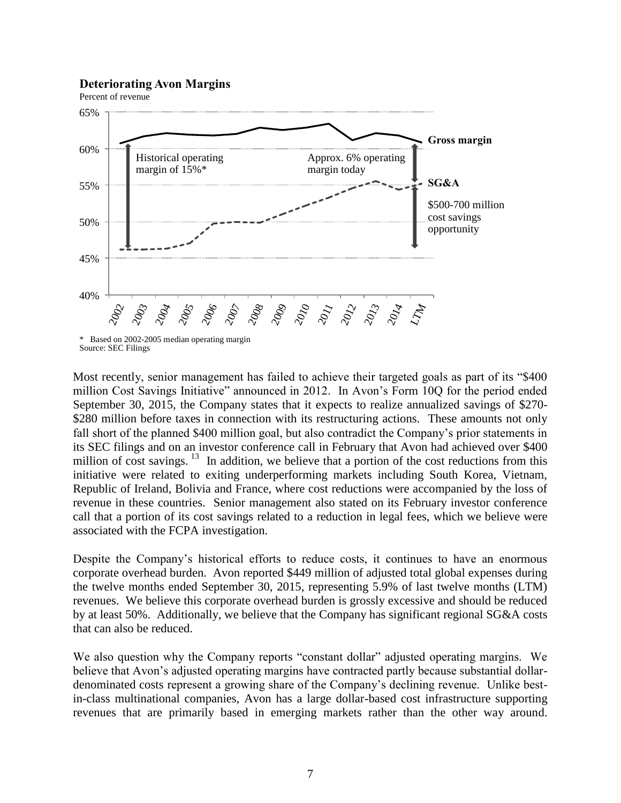#### **Deteriorating Avon Margins**





<sup>\*</sup> Based on 2002-2005 median operating margin Source: SEC Filings

Most recently, senior management has failed to achieve their targeted goals as part of its "\$400 million Cost Savings Initiative" announced in 2012. In Avon's Form 10Q for the period ended September 30, 2015, the Company states that it expects to realize annualized savings of \$270- \$280 million before taxes in connection with its restructuring actions. These amounts not only fall short of the planned \$400 million goal, but also contradict the Company's prior statements in its SEC filings and on an investor conference call in February that Avon had achieved over \$400 million of cost savings.  $13$  In addition, we believe that a portion of the cost reductions from this initiative were related to exiting underperforming markets including South Korea, Vietnam, Republic of Ireland, Bolivia and France, where cost reductions were accompanied by the loss of revenue in these countries. Senior management also stated on its February investor conference call that a portion of its cost savings related to a reduction in legal fees, which we believe were associated with the FCPA investigation.

Despite the Company's historical efforts to reduce costs, it continues to have an enormous corporate overhead burden. Avon reported \$449 million of adjusted total global expenses during the twelve months ended September 30, 2015, representing 5.9% of last twelve months (LTM) revenues. We believe this corporate overhead burden is grossly excessive and should be reduced by at least 50%. Additionally, we believe that the Company has significant regional SG&A costs that can also be reduced.

We also question why the Company reports "constant dollar" adjusted operating margins. We believe that Avon's adjusted operating margins have contracted partly because substantial dollardenominated costs represent a growing share of the Company's declining revenue. Unlike bestin-class multinational companies, Avon has a large dollar-based cost infrastructure supporting revenues that are primarily based in emerging markets rather than the other way around.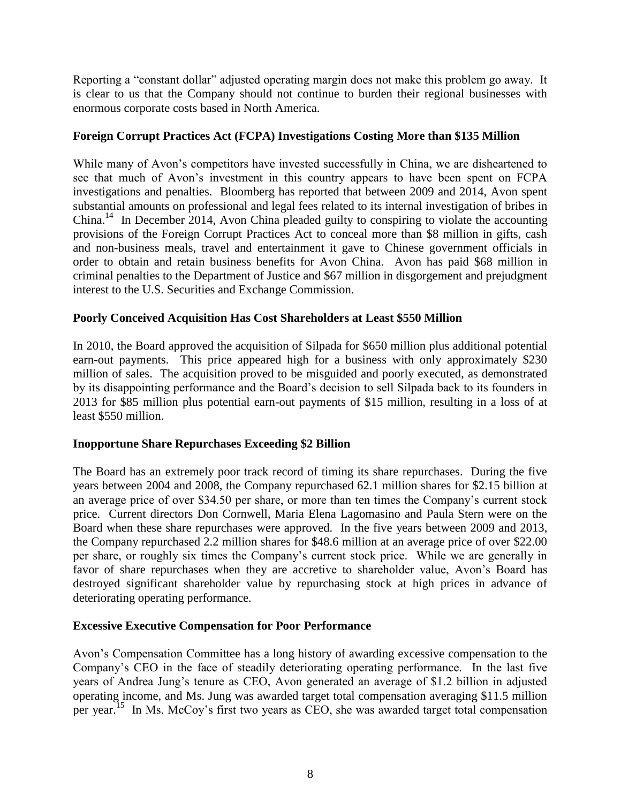Reporting a "constant dollar" adjusted operating margin does not make this problem go away. It is clear to us that the Company should not continue to burden their regional businesses with enormous corporate costs based in North America.

# **Foreign Corrupt Practices Act (FCPA) Investigations Costing More than \$135 Million**

While many of Avon's competitors have invested successfully in China, we are disheartened to see that much of Avon's investment in this country appears to have been spent on FCPA investigations and penalties. Bloomberg has reported that between 2009 and 2014, Avon spent substantial amounts on professional and legal fees related to its internal investigation of bribes in China.<sup>14</sup> In December 2014, Avon China pleaded guilty to conspiring to violate the accounting provisions of the Foreign Corrupt Practices Act to conceal more than \$8 million in gifts, cash and non-business meals, travel and entertainment it gave to Chinese government officials in order to obtain and retain business benefits for Avon China. Avon has paid \$68 million in criminal penalties to the Department of Justice and \$67 million in disgorgement and prejudgment interest to the U.S. Securities and Exchange Commission.

# **Poorly Conceived Acquisition Has Cost Shareholders at Least \$550 Million**

In 2010, the Board approved the acquisition of Silpada for \$650 million plus additional potential earn-out payments. This price appeared high for a business with only approximately \$230 million of sales. The acquisition proved to be misguided and poorly executed, as demonstrated by its disappointing performance and the Board's decision to sell Silpada back to its founders in 2013 for \$85 million plus potential earn-out payments of \$15 million, resulting in a loss of at least \$550 million.

# **Inopportune Share Repurchases Exceeding \$2 Billion**

The Board has an extremely poor track record of timing its share repurchases. During the five years between 2004 and 2008, the Company repurchased 62.1 million shares for \$2.15 billion at an average price of over \$34.50 per share, or more than ten times the Company's current stock price. Current directors Don Cornwell, Maria Elena Lagomasino and Paula Stern were on the Board when these share repurchases were approved. In the five years between 2009 and 2013, the Company repurchased 2.2 million shares for \$48.6 million at an average price of over \$22.00 per share, or roughly six times the Company's current stock price. While we are generally in favor of share repurchases when they are accretive to shareholder value, Avon's Board has destroyed significant shareholder value by repurchasing stock at high prices in advance of deteriorating operating performance.

# **Excessive Executive Compensation for Poor Performance**

Avon's Compensation Committee has a long history of awarding excessive compensation to the Company's CEO in the face of steadily deteriorating operating performance. In the last five years of Andrea Jung's tenure as CEO, Avon generated an average of \$1.2 billion in adjusted operating income, and Ms. Jung was awarded target total compensation averaging \$11.5 million per year.<sup>15</sup> In Ms. McCoy's first two years as CEO, she was awarded target total compensation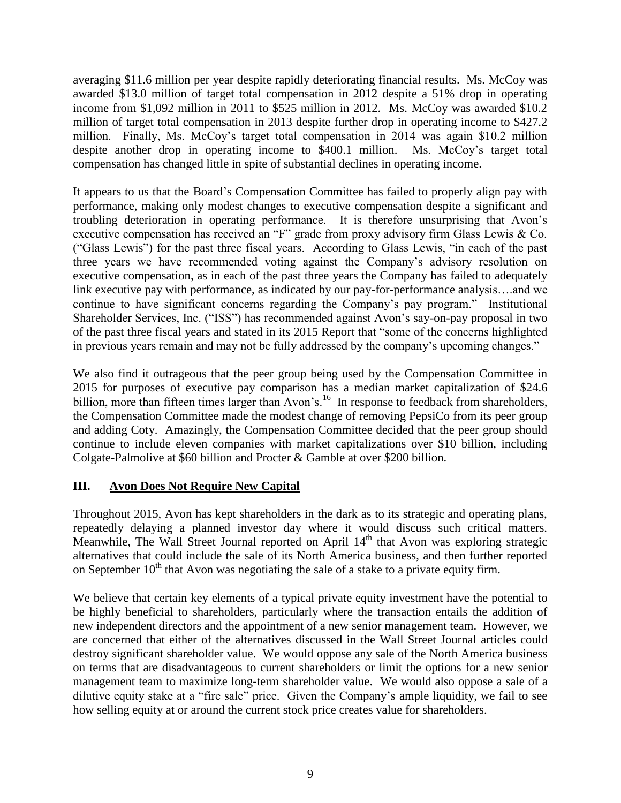averaging \$11.6 million per year despite rapidly deteriorating financial results. Ms. McCoy was awarded \$13.0 million of target total compensation in 2012 despite a 51% drop in operating income from \$1,092 million in 2011 to \$525 million in 2012. Ms. McCoy was awarded \$10.2 million of target total compensation in 2013 despite further drop in operating income to \$427.2 million. Finally, Ms. McCoy's target total compensation in 2014 was again \$10.2 million despite another drop in operating income to \$400.1 million. Ms. McCov's target total despite another drop in operating income to  $$400.1$  million. compensation has changed little in spite of substantial declines in operating income.

It appears to us that the Board's Compensation Committee has failed to properly align pay with performance, making only modest changes to executive compensation despite a significant and troubling deterioration in operating performance. It is therefore unsurprising that Avon's executive compensation has received an "F" grade from proxy advisory firm Glass Lewis & Co. ("Glass Lewis") for the past three fiscal years. According to Glass Lewis, "in each of the past three years we have recommended voting against the Company's advisory resolution on executive compensation, as in each of the past three years the Company has failed to adequately link executive pay with performance, as indicated by our pay-for-performance analysis….and we continue to have significant concerns regarding the Company's pay program." Institutional Shareholder Services, Inc. ("ISS") has recommended against Avon's say-on-pay proposal in two of the past three fiscal years and stated in its 2015 Report that "some of the concerns highlighted in previous years remain and may not be fully addressed by the company's upcoming changes."

We also find it outrageous that the peer group being used by the Compensation Committee in 2015 for purposes of executive pay comparison has a median market capitalization of \$24.6 billion, more than fifteen times larger than Avon's.<sup>16</sup> In response to feedback from shareholders, the Compensation Committee made the modest change of removing PepsiCo from its peer group and adding Coty. Amazingly, the Compensation Committee decided that the peer group should continue to include eleven companies with market capitalizations over \$10 billion, including Colgate-Palmolive at \$60 billion and Procter & Gamble at over \$200 billion.

# **III. Avon Does Not Require New Capital**

Throughout 2015, Avon has kept shareholders in the dark as to its strategic and operating plans, repeatedly delaying a planned investor day where it would discuss such critical matters. Meanwhile, The Wall Street Journal reported on April  $14<sup>th</sup>$  that Avon was exploring strategic alternatives that could include the sale of its North America business, and then further reported on September  $10<sup>th</sup>$  that Avon was negotiating the sale of a stake to a private equity firm.

We believe that certain key elements of a typical private equity investment have the potential to be highly beneficial to shareholders, particularly where the transaction entails the addition of new independent directors and the appointment of a new senior management team. However, we are concerned that either of the alternatives discussed in the Wall Street Journal articles could destroy significant shareholder value. We would oppose any sale of the North America business on terms that are disadvantageous to current shareholders or limit the options for a new senior management team to maximize long-term shareholder value. We would also oppose a sale of a dilutive equity stake at a "fire sale" price. Given the Company's ample liquidity, we fail to see how selling equity at or around the current stock price creates value for shareholders.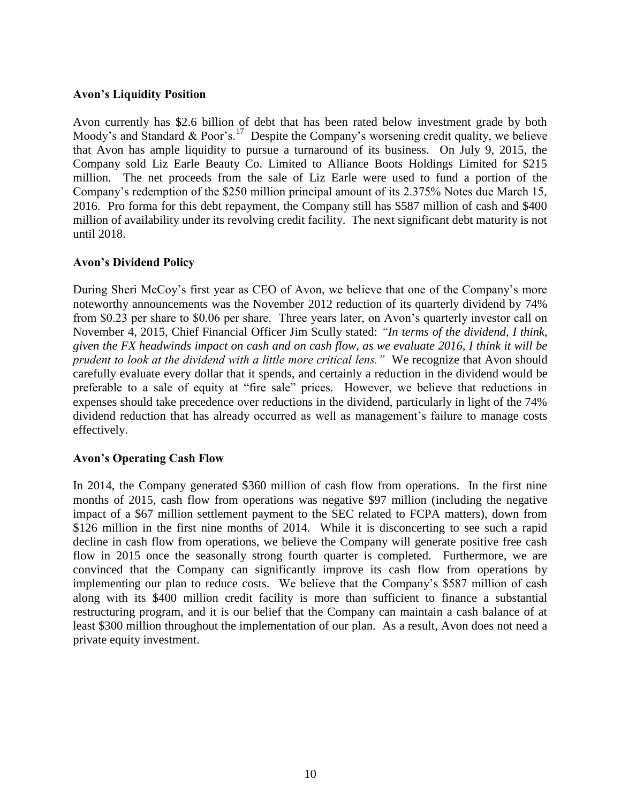### **Avon's Liquidity Position**

Avon currently has \$2.6 billion of debt that has been rated below investment grade by both Moody's and Standard & Poor's.<sup>17</sup> Despite the Company's worsening credit quality, we believe that Avon has ample liquidity to pursue a turnaround of its business. On July 9, 2015, the Company sold Liz Earle Beauty Co. Limited to Alliance Boots Holdings Limited for \$215 million. The net proceeds from the sale of Liz Earle were used to fund a portion of the Company's redemption of the \$250 million principal amount of its 2.375% Notes due March 15, 2016. Pro forma for this debt repayment, the Company still has \$587 million of cash and \$400 million of availability under its revolving credit facility. The next significant debt maturity is not until 2018.

### **Avon's Dividend Policy**

During Sheri McCoy's first year as CEO of Avon, we believe that one of the Company's more noteworthy announcements was the November 2012 reduction of its quarterly dividend by 74% from \$0.23 per share to \$0.06 per share. Three years later, on Avon's quarterly investor call on November 4, 2015, Chief Financial Officer Jim Scully stated: *"In terms of the dividend, I think, given the FX headwinds impact on cash and on cash flow, as we evaluate 2016, I think it will be prudent to look at the dividend with a little more critical lens."* We recognize that Avon should carefully evaluate every dollar that it spends, and certainly a reduction in the dividend would be preferable to a sale of equity at "fire sale" prices. However, we believe that reductions in expenses should take precedence over reductions in the dividend, particularly in light of the 74% dividend reduction that has already occurred as well as management's failure to manage costs effectively.

### **Avon's Operating Cash Flow**

In 2014, the Company generated \$360 million of cash flow from operations. In the first nine months of 2015, cash flow from operations was negative \$97 million (including the negative impact of a \$67 million settlement payment to the SEC related to FCPA matters), down from \$126 million in the first nine months of 2014. While it is disconcerting to see such a rapid decline in cash flow from operations, we believe the Company will generate positive free cash flow in 2015 once the seasonally strong fourth quarter is completed. Furthermore, we are convinced that the Company can significantly improve its cash flow from operations by implementing our plan to reduce costs. We believe that the Company's \$587 million of cash along with its \$400 million credit facility is more than sufficient to finance a substantial restructuring program, and it is our belief that the Company can maintain a cash balance of at least \$300 million throughout the implementation of our plan. As a result, Avon does not need a private equity investment.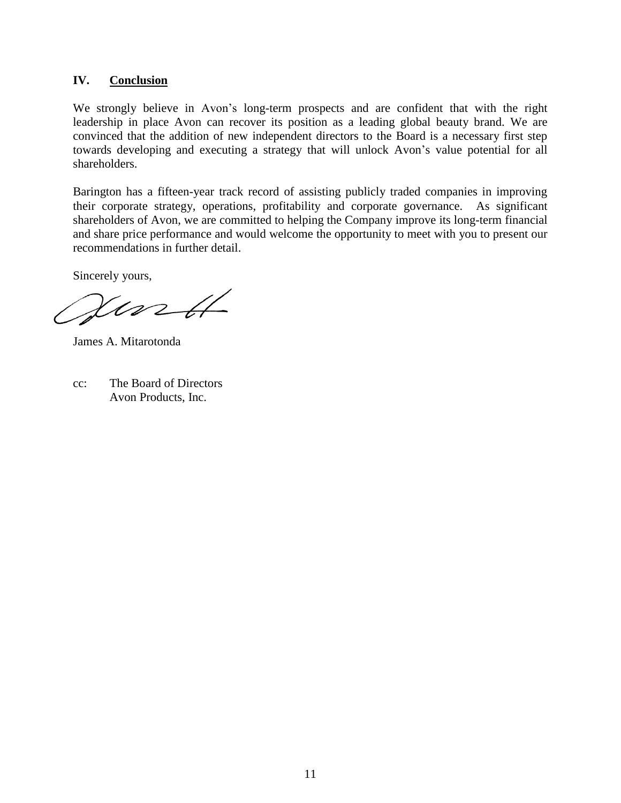### **IV. Conclusion**

We strongly believe in Avon's long-term prospects and are confident that with the right leadership in place Avon can recover its position as a leading global beauty brand. We are convinced that the addition of new independent directors to the Board is a necessary first step towards developing and executing a strategy that will unlock Avon's value potential for all shareholders.

Barington has a fifteen-year track record of assisting publicly traded companies in improving their corporate strategy, operations, profitability and corporate governance. As significant shareholders of Avon, we are committed to helping the Company improve its long-term financial and share price performance and would welcome the opportunity to meet with you to present our recommendations in further detail.

Sincerely yours,

 $\chi$ urtt

James A. Mitarotonda

cc: The Board of Directors Avon Products, Inc.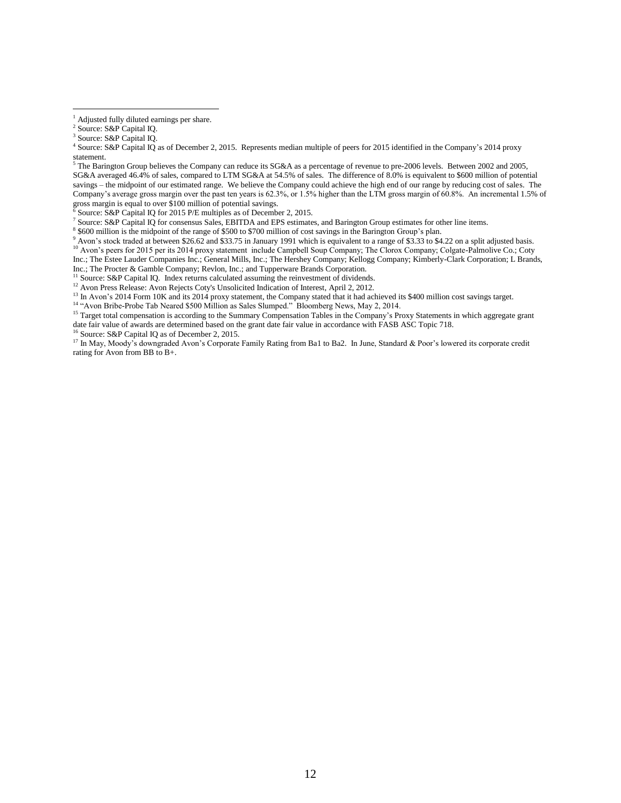$\overline{a}$ 

Source: S&P Capital IQ for 2015 P/E multiples as of December 2, 2015.

7 Source: S&P Capital IQ for consensus Sales, EBITDA and EPS estimates, and Barington Group estimates for other line items.

8 \$600 million is the midpoint of the range of \$500 to \$700 million of cost savings in the Barington Group's plan.

<sup>9</sup> Avon's stock traded at between \$26.62 and \$33.75 in January 1991 which is equivalent to a range of \$3.33 to \$4.22 on a split adjusted basis. <sup>10</sup> Avon's peers for 2015 per its 2014 proxy statement include Campbell Soup Company; The Clorox Company; Colgate-Palmolive Co.; Coty Inc.; The Estee Lauder Companies Inc.; General Mills, Inc.; The Hershey Company; Kellogg Company; Kimberly-Clark Corporation; L Brands, Inc.; The Procter & Gamble Company; Revlon, Inc.; and Tupperware Brands Corporation.

<sup>11</sup> Source: S&P Capital IQ. Index returns calculated assuming the reinvestment of dividends.

<sup>12</sup> Avon Press Release: Avon Rejects Coty's Unsolicited Indication of Interest, April 2, 2012.

<sup>13</sup> In Avon's 2014 Form 10K and its 2014 proxy statement, the Company stated that it had achieved its \$400 million cost savings target.

<sup>14</sup> "Avon Bribe-Probe Tab Neared \$500 Million as Sales Slumped." Bloomberg News, May 2, 2014.

<sup>15</sup> Target total compensation is according to the Summary Compensation Tables in the Company's Proxy Statements in which aggregate grant date fair value of awards are determined based on the grant date fair value in accordance with FASB ASC Topic 718.

<sup>16</sup> Source: S&P Capital IQ as of December 2, 2015.

<sup>17</sup> In May, Moody's downgraded Avon's Corporate Family Rating from Ba1 to Ba2. In June, Standard & Poor's lowered its corporate credit rating for Avon from BB to B+.

<sup>&</sup>lt;sup>1</sup> Adjusted fully diluted earnings per share.

<sup>2</sup> Source: S&P Capital IQ.

<sup>&</sup>lt;sup>3</sup> Source: S&P Capital IQ.

<sup>4</sup> Source: S&P Capital IQ as of December 2, 2015. Represents median multiple of peers for 2015 identified in the Company's 2014 proxy statement.

The Barington Group believes the Company can reduce its SG&A as a percentage of revenue to pre-2006 levels. Between 2002 and 2005, SG&A averaged 46.4% of sales, compared to LTM SG&A at 54.5% of sales. The difference of 8.0% is equivalent to \$600 million of potential savings – the midpoint of our estimated range. We believe the Company could achieve the high end of our range by reducing cost of sales. The Company's average gross margin over the past ten years is 62.3%, or 1.5% higher than the LTM gross margin of 60.8%. An incremental 1.5% of gross margin is equal to over \$100 million of potential savings.<br><sup>6</sup> Source: S & P Copital IQ for 2015 P/F multiples as of Decembe